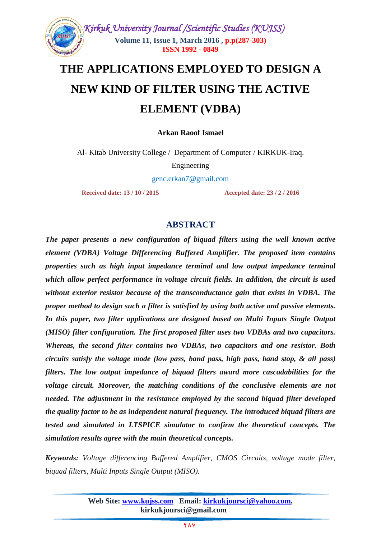

# **THE APPLICATIONS EMPLOYED TO DESIGN A NEW KIND OF FILTER USING THE ACTIVE ELEMENT (VDBA)**

**Arkan Raoof Ismael**

Al- Kitab University College / Department of Computer / KIRKUK-Iraq.

Engineering

[genc.erkan7@gmail.com](mailto:genc.erkan7@gmail.com)

**Received date: 13 / 10 / 2015 Accepted date: 23 / 2 / 2016**

## **ABSTRACT**

*The paper presents a new configuration of biquad filters using the well known active element (VDBA) Voltage Differencing Buffered Amplifier. The proposed item contains properties such as high input impedance terminal and low output impedance terminal which allow perfect performance in voltage circuit fields. In addition, the circuit is used without exterior resistor because of the transconductance gain that exists in VDBA. The proper method to design such a filter is satisfied by using both active and passive elements. In this paper, two filter applications are designed based on Multi Inputs Single Output (MISO) filter configuration. The first proposed filter uses two VDBAs and two capacitors. Whereas, the second fılter contains two VDBAs, two capacitors and one resistor. Both circuits satisfy the voltage mode (low pass, band pass, high pass, band stop, & all pass) filters. The low output impedance of biquad filters award more cascadabilities for the voltage circuit. Moreover, the matching conditions of the conclusive elements are not needed. The adjustment in the resistance employed by the second biquad filter developed the quality factor to be as independent natural frequency. The introduced biquad filters are tested and simulated in LTSPICE simulator to confirm the theoretical concepts. The simulation results agree with the main theoretical concepts.*

*Keywords: Voltage differencing Buffered Amplifier, CMOS Circuits, voltage mode filter, biquad filters, Multi Inputs Single Output (MISO).*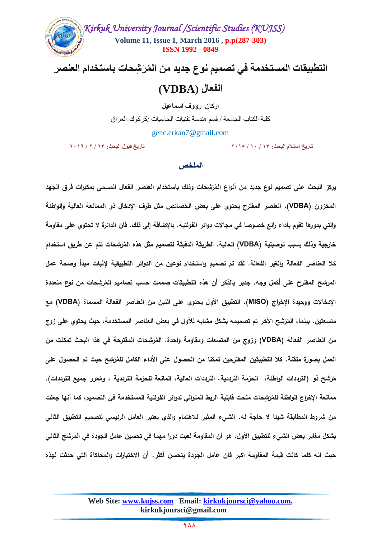

التطبيقات المستخدمة في تصميم نوع جديد من المُرَشحات باستخدام العنصر

# **الفعال )VDBA)**

**اركان رؤوف اسماعيل**

كلية الكتاب الجامعة / قسم هندسة تقنيات الحاسبات /كركوك-العراق

[genc.erkan7@gmail.com](mailto:genc.erkan7@gmail.com)

**تاريخ استالم البحث: 31 / 31 / 7133 تاريخ قبول البحث: 71 / 7 / 7134**

#### **الممخص**

**ِش يركز حات وذلك ر ُ البحث عمى تصميم نوع جديد من أنواع الم باستخدام العنصر الفعال المسمى بمكبرات فرق الجيد َ المخزون )VDBA). العنصر المقترح يحتوي عمى بعض الخصائص مثل طرف اإلدخال ذو الممانعة العالية والواطئة والتي بدورىا تقوم بأداء رائع خصوصا في مجاالت دوائر الفولتية. باإلضافة إلى ذلك, فان الدائرة ال تحتوي عمى مقاومة**  خارجية وذلك بسبب توصيلية (VDBA) العالية. الطريقة الدقيقة لتصميم مثل هذه المُرَشِحات تتم عن طريق استخدام **كال العناصر الفعالة والغير الفعالة. لقد تم تصميم واستخدام نوعين من الدوائر التطبيقية إلثبات مبدأ وصحة عمل**  المرشح الم<mark>قترح على أكمل وجه. جدير بالذكر أن هذه التطبيقات صممت حسب تصاميم المُرَشِحات من نوع متعددة</mark> **َ اإلدخاالت ووحيدة اإلخراج )MISO). التطبيق األول يحتوي عمى اثنين من العناصر الفعالة المسماة )VDBA )مع**  متسعتين. بينما، المُرَشِح الأخر تم تصميمه بشكل مشابه للأول في بعض العناصر المستخدمة، حيث يحتوي على زوج **َ** من العناصر الفعالة (VDBA) وزوج من المتسعات ومقاومة واحدة. المُرَشِحات المقترحة في هذا البحث تمكنت من **َ** العمل بصورة متقنـة. كلا التطبيقين المقترحين تمكنا من الحصول على الأداء الكامل للمُرَشِح حيث تم الحصول على **َ ِشح َ ر ُ م ذو )الترددات الواطئة, الحزمة الترددية, الترددات العالية, المانعة لمحزمة الترددية , رر م ُ وم جميع الترددات(. َ** ممانعة الإخراج الواطئة للمُرَشِحات منحت قابلية الربط المتوالي لدوائر الفولتية المستخدمة في التصميم، كما أنها جعلت **َ من شروط المطابقة شيئا ال حاجة لو. الشيء المثير لالىتمام والذي يعتبر العامل الرئيسي لتصميم التطبيق الثاني بشكل مغاير بعض الشيء لمتطبيق األول, ىو أن المقاومة لعبت دورا ميما في تحسين عامل الجودة في المرشح الثاني حيث انو كمما كانت قيمة المقاومة اكبر فان عامل الجودة يتحسن أكثر. أن االختبارات والمحاكاة التي حدثت ليذه**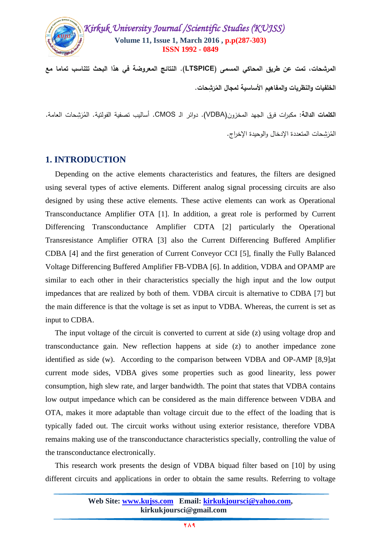

**المرشحات, تمت عن طريق المحاكي المسمى )LTSPICE). النتائج المعروضة في ىذا البحث تتناسب تماما مع**  الخلفيات والنظريات والمفاهيم الأساسية لمجال المُرَشِحات. **َ**

ا**لكلمات الدالـة:** مكبرات فرق الجهد المخزون(VDBA). دوائر الـ CMOS. أساليب تصفية الفولتية. المُرَشِحات العامـة. المُرَشِحات المتعددة الإدخال والوحيدة الإخراج.

#### **1. INTRODUCTION**

 Depending on the active elements characteristics and features, the filters are designed using several types of active elements. Different analog signal processing circuits are also designed by using these active elements. These active elements can work as Operational Transconductance Amplifier OTA [1]. In addition, a great role is performed by Current Differencing Transconductance Amplifier CDTA [2] particularly the Operational Transresistance Amplifier OTRA [3] also the Current Differencing Buffered Amplifier CDBA [4] and the first generation of Current Conveyor CCI [5], finally the Fully Balanced Voltage Differencing Buffered Amplifier FB-VDBA [6]. In addition, VDBA and OPAMP are similar to each other in their characteristics specially the high input and the low output impedances that are realized by both of them. VDBA circuit is alternative to CDBA [7] but the main difference is that the voltage is set as input to VDBA. Whereas, the current is set as input to CDBA.

 The input voltage of the circuit is converted to current at side (z) using voltage drop and transconductance gain. New reflection happens at side (z) to another impedance zone identified as side (w). According to the comparison between VDBA and OP-AMP [8,9]at current mode sides, VDBA gives some properties such as good linearity, less power consumption, high slew rate, and larger bandwidth. The point that states that VDBA contains low output impedance which can be considered as the main difference between VDBA and OTA, makes it more adaptable than voltage circuit due to the effect of the loading that is typically faded out. The circuit works without using exterior resistance, therefore VDBA remains making use of the transconductance characteristics specially, controlling the value of the transconductance electronically.

 This research work presents the design of VDBA biquad filter based on [10] by using different circuits and applications in order to obtain the same results. Referring to voltage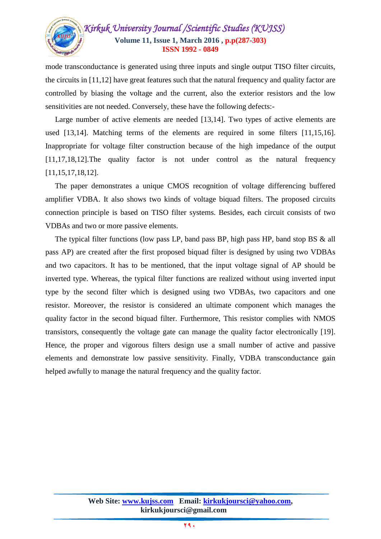

mode transconductance is generated using three inputs and single output TISO filter circuits, the circuits in [11,12] have great features such that the natural frequency and quality factor are controlled by biasing the voltage and the current, also the exterior resistors and the low sensitivities are not needed. Conversely, these have the following defects:-

Large number of active elements are needed [13,14]. Two types of active elements are used [13,14]. Matching terms of the elements are required in some filters [11,15,16]. Inappropriate for voltage filter construction because of the high impedance of the output [11,17,18,12].The quality factor is not under control as the natural frequency [11,15,17,18,12].

 The paper demonstrates a unique CMOS recognition of voltage differencing buffered amplifier VDBA. It also shows two kinds of voltage biquad filters. The proposed circuits connection principle is based on TISO filter systems. Besides, each circuit consists of two VDBAs and two or more passive elements.

 The typical filter functions (low pass LP, band pass BP, high pass HP, band stop BS & all pass AP) are created after the first proposed biquad filter is designed by using two VDBAs and two capacitors. It has to be mentioned, that the input voltage signal of AP should be inverted type. Whereas, the typical filter functions are realized without using inverted input type by the second filter which is designed using two VDBAs, two capacitors and one resistor. Moreover, the resistor is considered an ultimate component which manages the quality factor in the second biquad filter. Furthermore, This resistor complies with NMOS transistors, consequently the voltage gate can manage the quality factor electronically [19]. Hence, the proper and vigorous filters design use a small number of active and passive elements and demonstrate low passive sensitivity. Finally, VDBA transconductance gain helped awfully to manage the natural frequency and the quality factor.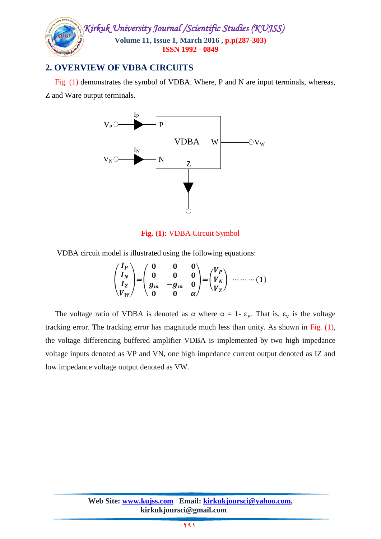

## **2. OVERVIEW OF VDBA CIRCUITS**

Fig. (1) demonstrates the symbol of VDBA. Where, P and N are input terminals, whereas,

Z and Ware output terminals.



#### **Fig. (1):** VDBA Circuit Symbol

VDBA circuit model is illustrated using the following equations:

$$
\begin{pmatrix} I_P \\ I_N \\ I_Z \\ V_W \end{pmatrix} = \begin{pmatrix} 0 & 0 & 0 \\ 0 & 0 & 0 \\ g_m & -g_m & 0 \\ 0 & 0 & \alpha \end{pmatrix} = \begin{pmatrix} V_P \\ V_N \\ V_Z \end{pmatrix} \dots \dots \dots (1)
$$

The voltage ratio of VDBA is denoted as  $\alpha$  where  $\alpha = 1$ -  $\varepsilon_v$ . That is,  $\varepsilon_v$  is the voltage tracking error. The tracking error has magnitude much less than unity. As shown in Fig. (1), the voltage differencing buffered amplifier VDBA is implemented by two high impedance voltage inputs denoted as VP and VN, one high impedance current output denoted as IZ and low impedance voltage output denoted as VW.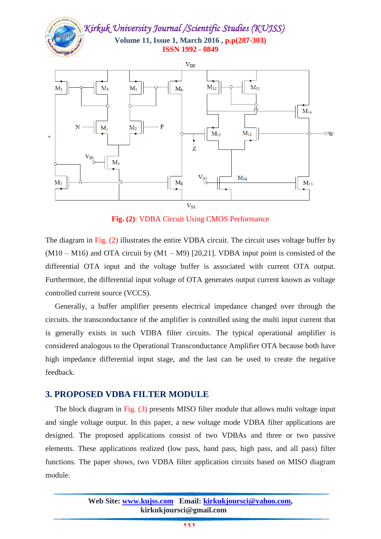*Kirkuk University Journal /Scientific Studies (KUJSS)*  **Volume 11, Issue 1, March 2016 , p.p(287-303) ISSN 1992 - 0849**



**Fig. (2)**: VDBA Circuit Using CMOS Performance

The diagram in Fig. (2) illustrates the entire VDBA circuit. The circuit uses voltage buffer by  $(M10 - M16)$  and OTA circuit by  $(M1 - M9)$  [20,21]. VDBA input point is consisted of the differential OTA input and the voltage buffer is associated with current OTA output. Furthermore, the differential input voltage of OTA generates output current known as voltage controlled current source (VCCS).

 Generally, a buffer amplifier presents electrical impedance changed over through the circuits. the transconductance of the amplifier is controlled using the multi input current that is generally exists in such VDBA filter circuits. The typical operational amplifier is considered analogous to the Operational Transconductance Amplifier OTA because both have high impedance differential input stage, and the last can be used to create the negative feedback.

#### **3. PROPOSED VDBA FILTER MODULE**

The block diagram in Fig. (3) presents MISO filter module that allows multi voltage input and single voltage output. In this paper, a new voltage mode VDBA filter applications are designed. The proposed applications consist of two VDBAs and three or two passive elements. These applications realized (low pass, band pass, high pass, and all pass) filter functions. The paper shows, two VDBA filter application circuits based on MISO diagram module.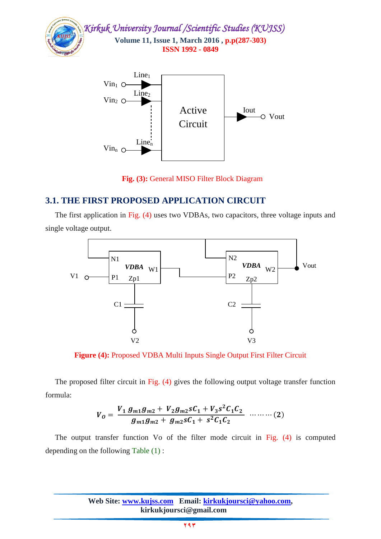

 **Fig. (3):** General MISO Filter Block Diagram

## **3.1. THE FIRST PROPOSED APPLICATION CIRCUIT**

 The first application in Fig. (4) uses two VDBAs, two capacitors, three voltage inputs and single voltage output.



**Figure (4):** Proposed VDBA Multi Inputs Single Output First Filter Circuit

The proposed filter circuit in Fig. (4) gives the following output voltage transfer function formula:

$$
V_0 = \frac{V_1 g_{m1} g_{m2} + V_2 g_{m2} s C_1 + V_3 s^2 C_1 C_2}{g_{m1} g_{m2} + g_{m2} s C_1 + s^2 C_1 C_2} \quad \cdots \cdots \cdots (2)
$$

 The output transfer function Vo of the filter mode circuit in Fig. (4) is computed depending on the following Table (1) :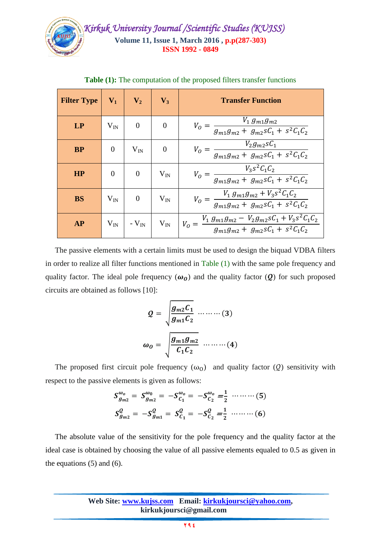

| <b>Filter Type</b> | $V_1$          | $V_2$          | $V_3$            | <b>Transfer Function</b>                                                                                                    |
|--------------------|----------------|----------------|------------------|-----------------------------------------------------------------------------------------------------------------------------|
| LP                 | $V_{IN}$       | $\overline{0}$ | 0                | $\frac{V_1 g_{m1} g_{m2}}{g_{m1} g_{m2} + g_{m2} sC_1 + s^2C_1C_2}$<br>$V_O =$                                              |
| <b>BP</b>          | $\overline{0}$ | $V_{IN}$       | $\boldsymbol{0}$ | $V_0 = \frac{V_2 g_{m2} s C_1}{g_{m1} g_{m2} + g_{m2} s C_1 + s^2 C_1 C_2}$                                                 |
| HP                 | $\overline{0}$ | $\theta$       | $\rm V_{IN}$     | $V_0 = \frac{V_3 s^2 C_1 C_2}{g_{m1}g_{m2} + g_{m2} s C_1 + s^2 C_1 C_2}$                                                   |
| <b>BS</b>          | $V_{IN}$       | $\theta$       | $\rm V_{IN}$     | $V_0 = \frac{V_1 g_{m1} g_{m2} + \overline{V_3 s^2 C_1 C_2}}{g_{m1} g_{m2} + g_{m2} s C_1 + s^2 C_1 C_2}$                   |
| <b>AP</b>          | $V_{IN}$       | - $V_{IN}$     |                  | $\frac{V_1 g_{m1}g_{m2} - V_2 g_{m2} sC_1 + V_3 s^2 C_1 C_2}{g_{m1}g_{m2} + g_{m2} sC_1 + s^2 C_1 C_2}$<br>$V_{IN}$ $V_0 =$ |

**Table (1):** The computation of the proposed filters transfer functions

 The passive elements with a certain limits must be used to design the biquad VDBA filters in order to realize all filter functions mentioned in Table (1) with the same pole frequency and quality factor. The ideal pole frequency  $(\omega_0)$  and the quality factor  $(Q)$  for such proposed circuits are obtained as follows [10]:

$$
Q = \sqrt{\frac{g_{m2}C_1}{g_{m1}C_2}} \dots \dots \dots (3)
$$

$$
\omega_0 = \sqrt{\frac{g_{m1}g_{m2}}{C_1C_2}} \dots \dots \dots (4)
$$

The proposed first circuit pole frequency  $(\omega_0)$  and quality factor (Q) sensitivity with respect to the passive elements is given as follows:

$$
S_{g_{m2}}^{\omega_o} = S_{g_{m2}}^{\omega_0} = -S_{C_1}^{\omega_o} = -S_{C_2}^{\omega_o} = \frac{1}{2} \cdots \cdots \cdots (5)
$$
  

$$
S_{g_{m2}}^Q = -S_{g_{m1}}^Q = S_{C_1}^Q = -S_{C_2}^Q = \frac{1}{2} \cdots \cdots \cdots (6)
$$

 The absolute value of the sensitivity for the pole frequency and the quality factor at the ideal case is obtained by choosing the value of all passive elements equaled to 0.5 as given in the equations  $(5)$  and  $(6)$ .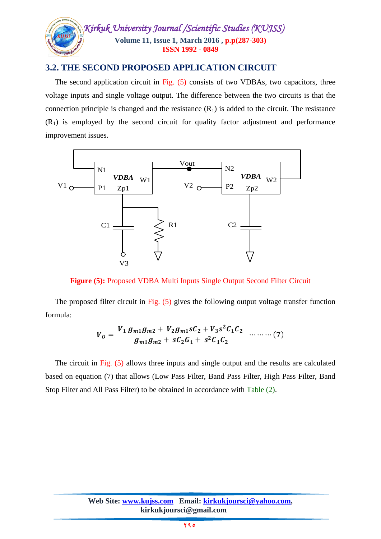

## **3.2. THE SECOND PROPOSED APPLICATION CIRCUIT**

 The second application circuit in Fig. (5) consists of two VDBAs, two capacitors, three voltage inputs and single voltage output. The difference between the two circuits is that the connection principle is changed and the resistance  $(R_1)$  is added to the circuit. The resistance  $(R<sub>1</sub>)$  is employed by the second circuit for quality factor adjustment and performance improvement issues.



**Figure (5):** Proposed VDBA Multi Inputs Single Output Second Filter Circuit

The proposed filter circuit in Fig. (5) gives the following output voltage transfer function formula:

$$
V_0 = \frac{V_1 g_{m1} g_{m2} + V_2 g_{m1} s C_2 + V_3 s^2 C_1 C_2}{g_{m1} g_{m2} + s C_2 G_1 + s^2 C_1 C_2} \quad \cdots \cdots \cdots (7)
$$

 The circuit in Fig. (5) allows three inputs and single output and the results are calculated based on equation (7) that allows (Low Pass Filter, Band Pass Filter, High Pass Filter, Band Stop Filter and All Pass Filter) to be obtained in accordance with Table (2).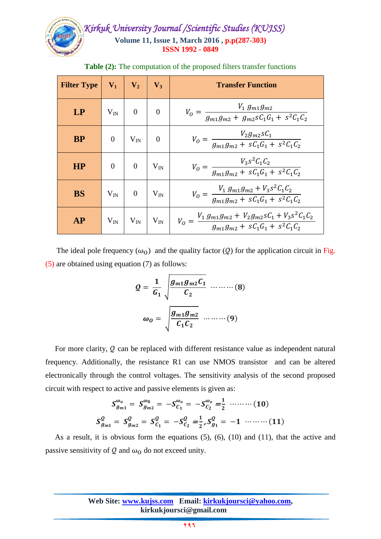

| <b>Filter Type</b> | $V_1$            | $\mathbf{V}_2$      | $V_3$          | <b>Transfer Function</b>                                                                                                       |
|--------------------|------------------|---------------------|----------------|--------------------------------------------------------------------------------------------------------------------------------|
| LP                 | $V_{IN}$         | $\overline{0}$      | $\overline{0}$ | $V_0 = \frac{V_1 g_{m1} g_{m2}}{g_{m1} g_{m2} + g_{m2} s C_1 G_1 + s^2 C_1 C_2}$                                               |
| <b>BP</b>          | $\boldsymbol{0}$ | $V_{IN}$            | $\overline{0}$ | $V_0 = \frac{V_2 g_{m2} sC_1}{g_{m1}g_{m2} + sC_1 G_1 + s^2 C_1 C_2}$                                                          |
| HP                 | $\theta$         | $\overline{0}$      | $\rm V_{IN}$   | $V_0 = \frac{V_3 s^2 C_1 C_2}{g_{m1} g_{m2} + s C_1 G_1 + s^2 C_1 C_2}$                                                        |
| <b>BS</b>          | $\rm V_{IN}$     | $\theta$            | $V_{IN}$       | $V_0 = \frac{V_1 g_{m1} g_{m2} + V_3 s^2 C_1 C_2}{g_{m1} g_{m2} + s C_1 G_1 + s^2 C_1 C_2}$                                    |
| AP                 |                  | $V_{IN}$   $V_{IN}$ |                | $V_{\text{IN}}$ $V_0 = \frac{V_1 g_{m1} g_{m2} + V_2 g_{m2} s C_1 + V_3 s^2 C_1 C_2}{g_{m1} g_{m2} + s C_1 G_1 + s^2 C_1 C_2}$ |

**Table (2):** The computation of the proposed filters transfer functions

The ideal pole frequency  $(\omega_0)$  and the quality factor (Q) for the application circuit in Fig. (5) are obtained using equation (7) as follows:

$$
Q = \frac{1}{G_1} \sqrt{\frac{g_{m1}g_{m2}C_1}{C_2}} \dots \dots \dots \dots (8)
$$

$$
\omega_0 = \sqrt{\frac{g_{m1}g_{m2}}{C_1C_2}} \dots \dots \dots (9)
$$

For more clarity,  $Q$  can be replaced with different resistance value as independent natural frequency. Additionally, the resistance R1 can use NMOS transistor and can be altered electronically through the control voltages. The sensitivity analysis of the second proposed circuit with respect to active and passive elements is given as:

$$
S_{g_{m1}}^{\omega_o} = S_{g_{m2}}^{\omega_0} = -S_{C_1}^{\omega_o} = -S_{C_2}^{\omega_o} = \frac{1}{2} \dots \dots \dots (10)
$$
  

$$
S_{g_{m1}}^2 = S_{g_{m2}}^2 = S_{C_1}^2 = -S_{C_2}^2 = \frac{1}{2}, S_{g_1}^2 = -1 \dots \dots \dots (11)
$$

 As a result, it is obvious form the equations (5), (6), (10) and (11), that the active and passive sensitivity of Q and  $\omega_0$  do not exceed unity.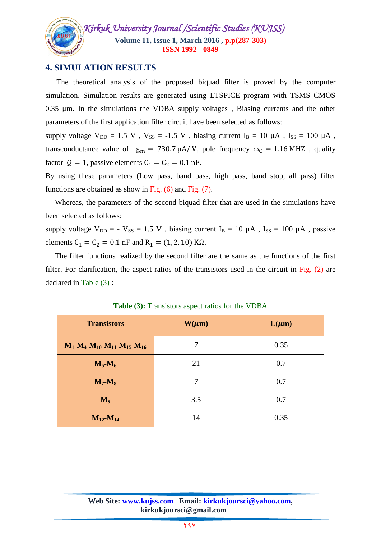

## **4. SIMULATION RESULTS**

 The theoretical analysis of the proposed biquad filter is proved by the computer simulation. Simulation results are generated using LTSPICE program with TSMS CMOS 0.35 um. In the simulations the VDBA supply voltages, Biasing currents and the other parameters of the first application filter circuit have been selected as follows:

supply voltage  $V_{DD} = 1.5$  V ,  $V_{SS} = -1.5$  V , biasing current  $I_B = 10 \mu A$  ,  $I_{SS} = 100 \mu A$  , transconductance value of  $g_m = 730.7 \mu A/V$ , pole frequency  $\omega_0 = 1.16 MHz$ , quality factor  $Q = 1$ , passive elements  $C_1 = C_2 = 0.1$  nF.

By using these parameters (Low pass, band bass, high pass, band stop, all pass) filter functions are obtained as show in Fig. (6) and Fig. (7).

 Whereas, the parameters of the second biquad filter that are used in the simulations have been selected as follows:

supply voltage  $V_{DD} = -V_{SS} = 1.5 V$ , biasing current  $I_B = 10 \mu A$ ,  $I_{SS} = 100 \mu A$ , passive elements  $C_1 = C_2 = 0.1$  nF and  $R_1 = (1, 2, 10)$  K $\Omega$ .

 The filter functions realized by the second filter are the same as the functions of the first filter. For clarification, the aspect ratios of the transistors used in the circuit in Fig. (2) are declared in Table (3) :

| <b>Transistors</b>                    | $W(\mu m)$ | $L(\mu m)$ |
|---------------------------------------|------------|------------|
| $M_1-M_4-M_{10}-M_{11}-M_{15}-M_{16}$ |            | 0.35       |
| $M_5-M_6$                             | 21         | 0.7        |
| $M_7$ - $M_8$                         | 7          | 0.7        |
| $M_9$                                 | 3.5        | 0.7        |
| $M_{12}$ - $M_{14}$                   | 14         | 0.35       |

**Table (3):** Transistors aspect ratios for the VDBA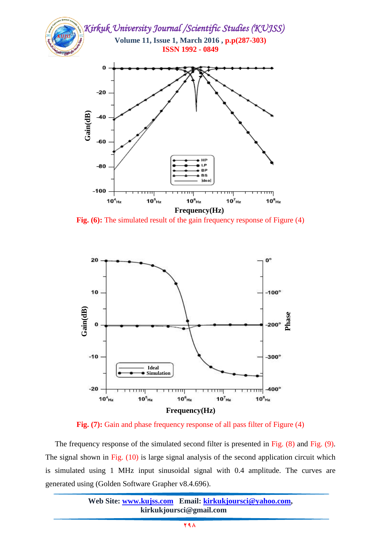

**Fig.** (6): The simulated result of the gain frequency response of Figure (4)



**Fig.** (7): Gain and phase frequency response of all pass filter of Figure (4)

 The frequency response of the simulated second filter is presented in Fig. (8) and Fig. (9). The signal shown in Fig. (10) is large signal analysis of the second application circuit which is simulated using 1 MHz input sinusoidal signal with 0.4 amplitude. The curves are

|                         | Web Site: www.kujss.com Email: kirkukjoursci@yahoo.com, |  |  |  |  |  |
|-------------------------|---------------------------------------------------------|--|--|--|--|--|
| kirkukjoursci@gmail.com |                                                         |  |  |  |  |  |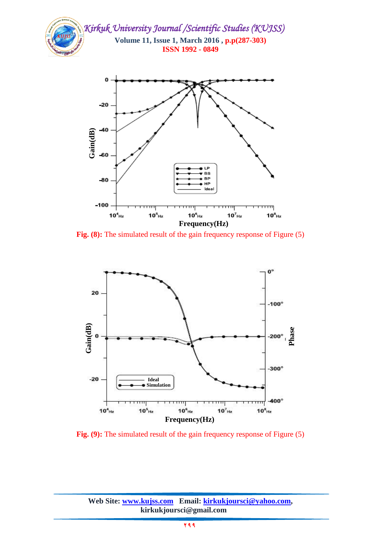

**Fig.** (8): The simulated result of the gain frequency response of Figure (5)

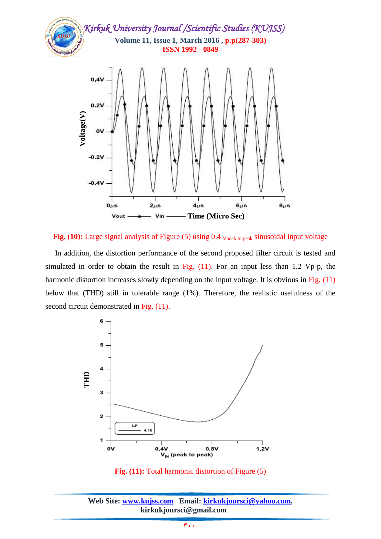

Fig. (10): Large signal analysis of Figure (5) using 0.4 <sub>Vpeak to peak</sub> sinusoidal input voltage

 In addition, the distortion performance of the second proposed filter circuit is tested and simulated in order to obtain the result in Fig.  $(11)$ . For an input less than 1.2 Vp-p, the harmonic distortion increases slowly depending on the input voltage. It is obvious in Fig. (11) below that (THD) still in tolerable range (1%). Therefore, the realistic usefulness of the second circuit demonstrated in Fig.  $(11)$ .



**Fig. (11):** Total harmonic distortion of Figure (5)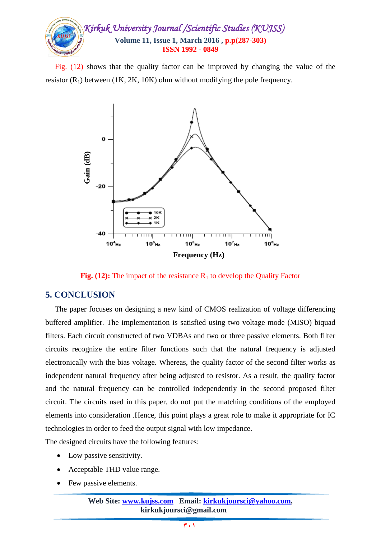

 Fig. (12) shows that the quality factor can be improved by changing the value of the resistor  $(R_1)$  between (1K, 2K, 10K) ohm without modifying the pole frequency.



**Fig. (12):** The impact of the resistance  $R_1$  to develop the Quality Factor

## **5. CONCLUSION**

 The paper focuses on designing a new kind of CMOS realization of voltage differencing buffered amplifier. The implementation is satisfied using two voltage mode (MISO) biquad filters. Each circuit constructed of two VDBAs and two or three passive elements. Both filter circuits recognize the entire filter functions such that the natural frequency is adjusted electronically with the bias voltage. Whereas, the quality factor of the second filter works as independent natural frequency after being adjusted to resistor. As a result, the quality factor and the natural frequency can be controlled independently in the second proposed filter circuit. The circuits used in this paper, do not put the matching conditions of the employed elements into consideration .Hence, this point plays a great role to make it appropriate for IC technologies in order to feed the output signal with low impedance. Feg. (12): The improvements.<br>
Fig. (12): The improvements.<br>
Fig. (12): The improvements.<br>
Fig. (12): The improvement of the paper focuses on desisted amplifier. The implements.<br>
Experience the entire tronically with the bi

The designed circuits have the following features:

- Low passive sensitivity.
- Acceptable THD value range.
- 

**Web Site: www.kujss.com Email: kirkukjoursci@yahoo.com, kirkukjoursci@gmail.com**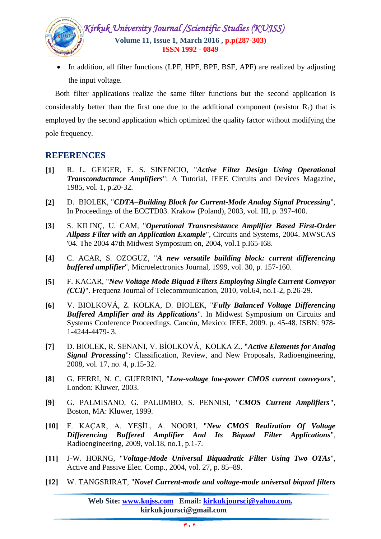

• In addition, all filter functions (LPF, HPF, BPF, BSF, APF) are realized by adjusting the input voltage.

 Both filter applications realize the same filter functions but the second application is considerably better than the first one due to the additional component (resistor  $R_1$ ) that is employed by the second application which optimized the quality factor without modifying the pole frequency.

## **REFERENCES**

- **[1]** R. L. GEIGER, E. S. SINENCIO, "*Active Filter Design Using Operational Transconductance Amplifiers*": A Tutorial, IEEE Circuits and Devices Magazine, 1985, vol. 1, p.20-32.
- **[2]** D. BIOLEK, "*CDTA–Building Block for Current-Mode Analog Signal Processing*", In Proceedings of the ECCTD03. Krakow (Poland), 2003, vol. III, p. 397-400.
- **[3]** S. KILINÇ, U. CAM, "*Operational Transresistance Amplifier Based First-Order Allpass Filter with an Application Example*", Circuits and Systems, 2004. MWSCAS '04. The 2004 47th Midwest Symposium on, 2004, vol.1 p.I65-I68.
- **[4]** C. ACAR, S. OZOGUZ, "*A new versatile building block: current differencing buffered amplifier*", Microelectronics Journal, 1999, vol. 30, p. 157-160.
- **[5]** F. KACAR, "*New Voltage Mode Biquad Filters Employing Single Current Conveyor (CCI)*". Frequenz Journal of Telecommunication, 2010, vol.64, no.1-2, p.26-29.
- **[6]** V. BIOLKOVÁ, Z. KOLKA, D. BIOLEK, "*Fully Balanced Voltage Differencing Buffered Amplifier and its Applications*". In Midwest Symposium on Circuits and Systems Conference Proceedings. Cancún, Mexico: IEEE, 2009. p. 45-48. ISBN: 978- 1-4244-4479- 3.
- **[7]** D. BIOLEK, R. SENANI, V. BİOLKOVÁ, KOLKA Z., "*Active Elements for Analog Signal Processing*": Classification, Review, and New Proposals, Radioengineering, 2008, vol. 17, no. 4, p.15-32.
- **[8]** G. FERRI, N. C. GUERRINI, "*Low-voltage low-power CMOS current conveyors*", London: Kluwer, 2003.
- **[9]** G. PALMISANO, G. PALUMBO, S. PENNISI, "*CMOS Current Amplifiers"*, Boston, MA: Kluwer, 1999.
- **[10]** F. KAÇAR, A. YEŞİL, A. NOORI, "*New CMOS Realization Of Voltage Differencing Buffered Amplifier And Its Biquad Filter Applications*", Radioengineering, 2009, vol.18, no.1, p.1-7.
- **[11]** J-W. HORNG, "*Voltage-Mode Universal Biquadratic Filter Using Two OTAs*", Active and Passive Elec. Comp., 2004, vol. 27, p. 85–89.
- **[12]** W. TANGSRIRAT, "*Novel Current-mode and voltage-mode universal biquad filters*